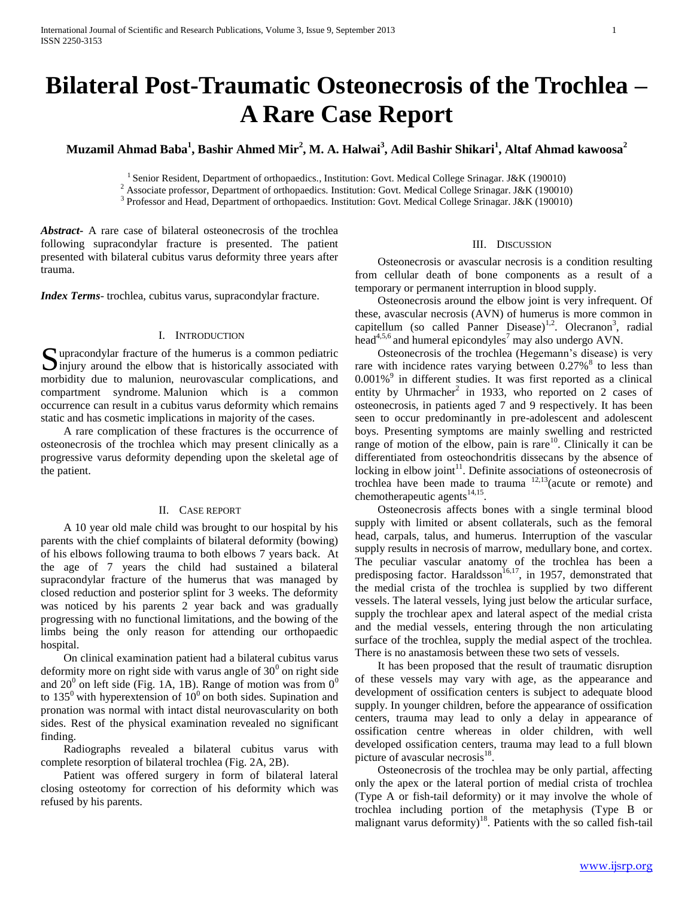# **Bilateral Post-Traumatic Osteonecrosis of the Trochlea – A Rare Case Report**

**Muzamil Ahmad Baba<sup>1</sup> , Bashir Ahmed Mir<sup>2</sup> , M. A. Halwai<sup>3</sup> , Adil Bashir Shikari<sup>1</sup> , Altaf Ahmad kawoosa<sup>2</sup>**

<sup>1</sup> Senior Resident, Department of orthopaedics., Institution: Govt. Medical College Srinagar. J&K (190010)

2 Associate professor, Department of orthopaedics. Institution: Govt. Medical College Srinagar. J&K (190010)

<sup>3</sup> Professor and Head, Department of orthopaedics. Institution: Govt. Medical College Srinagar. J&K (190010)

*Abstract***-** A rare case of bilateral osteonecrosis of the trochlea following supracondylar fracture is presented. The patient presented with bilateral cubitus varus deformity three years after trauma.

*Index Terms*- trochlea, cubitus varus, supracondylar fracture.

## I. INTRODUCTION

Supracondylar fracture of the humerus is a common pediatric injury around the elbow that is historically associated with  $\sum$ injury around the elbow that is historically associated with morbidity due to malunion, neurovascular complications, and compartment syndrome. Malunion which is a common occurrence can result in a cubitus varus deformity which remains static and has cosmetic implications in majority of the cases.

 A rare complication of these fractures is the occurrence of osteonecrosis of the trochlea which may present clinically as a progressive varus deformity depending upon the skeletal age of the patient.

## II. CASE REPORT

 A 10 year old male child was brought to our hospital by his parents with the chief complaints of bilateral deformity (bowing) of his elbows following trauma to both elbows 7 years back. At the age of 7 years the child had sustained a bilateral supracondylar fracture of the humerus that was managed by closed reduction and posterior splint for 3 weeks. The deformity was noticed by his parents 2 year back and was gradually progressing with no functional limitations, and the bowing of the limbs being the only reason for attending our orthopaedic hospital.

 On clinical examination patient had a bilateral cubitus varus deformity more on right side with varus angle of  $30^0$  on right side and  $20^0$  on left side (Fig. 1A, 1B). Range of motion was from  $0^0$ to  $135^{\circ}$  with hyperextension of  $10^{\circ}$  on both sides. Supination and pronation was normal with intact distal neurovascularity on both sides. Rest of the physical examination revealed no significant finding.

 Radiographs revealed a bilateral cubitus varus with complete resorption of bilateral trochlea (Fig. 2A, 2B).

 Patient was offered surgery in form of bilateral lateral closing osteotomy for correction of his deformity which was refused by his parents.

#### III. DISCUSSION

 Osteonecrosis or avascular necrosis is a condition resulting from cellular death of bone components as a result of a temporary or permanent interruption in blood supply.

 Osteonecrosis around the elbow joint is very infrequent. Of these, avascular necrosis (AVN) of humerus is more common in capitellum (so called Panner Disease)<sup>1,2</sup>. Olecranon<sup>3</sup>, radial head<sup>4,5,6</sup> and humeral epicondyles<sup>7</sup> may also undergo AVN.

 Osteonecrosis of the trochlea (Hegemann's disease) is very rare with incidence rates varying between  $0.27\%$ <sup>8</sup> to less than 0.001%<sup>9</sup> in different studies. It was first reported as a clinical entity by Uhrmacher<sup>2</sup> in 1933, who reported on 2 cases of osteonecrosis, in patients aged 7 and 9 respectively. It has been seen to occur predominantly in pre-adolescent and adolescent boys. Presenting symptoms are mainly swelling and restricted range of motion of the elbow, pain is rare $10$ . Clinically it can be differentiated from osteochondritis dissecans by the absence of locking in elbow joint $11$ . Definite associations of osteonecrosis of trochlea have been made to trauma  $12,13$  (acute or remote) and chemotherapeutic agents $^{14,15}$ .

 Osteonecrosis affects bones with a single terminal blood supply with limited or absent collaterals, such as the femoral head, carpals, talus, and humerus. Interruption of the vascular supply results in necrosis of marrow, medullary bone, and cortex. The peculiar vascular anatomy of the trochlea has been a predisposing factor. Haraldsson<sup>16,17</sup>, in 1957, demonstrated that the medial crista of the trochlea is supplied by two different vessels. The lateral vessels, lying just below the articular surface, supply the trochlear apex and lateral aspect of the medial crista and the medial vessels, entering through the non articulating surface of the trochlea, supply the medial aspect of the trochlea. There is no anastamosis between these two sets of vessels.

 It has been proposed that the result of traumatic disruption of these vessels may vary with age, as the appearance and development of ossification centers is subject to adequate blood supply. In younger children, before the appearance of ossification centers, trauma may lead to only a delay in appearance of ossification centre whereas in older children, with well developed ossification centers, trauma may lead to a full blown picture of avascular necrosis<sup>18</sup>.

 Osteonecrosis of the trochlea may be only partial, affecting only the apex or the lateral portion of medial crista of trochlea (Type A or fish-tail deformity) or it may involve the whole of trochlea including portion of the metaphysis (Type B or malignant varus deformity)<sup>18</sup>. Patients with the so called fish-tail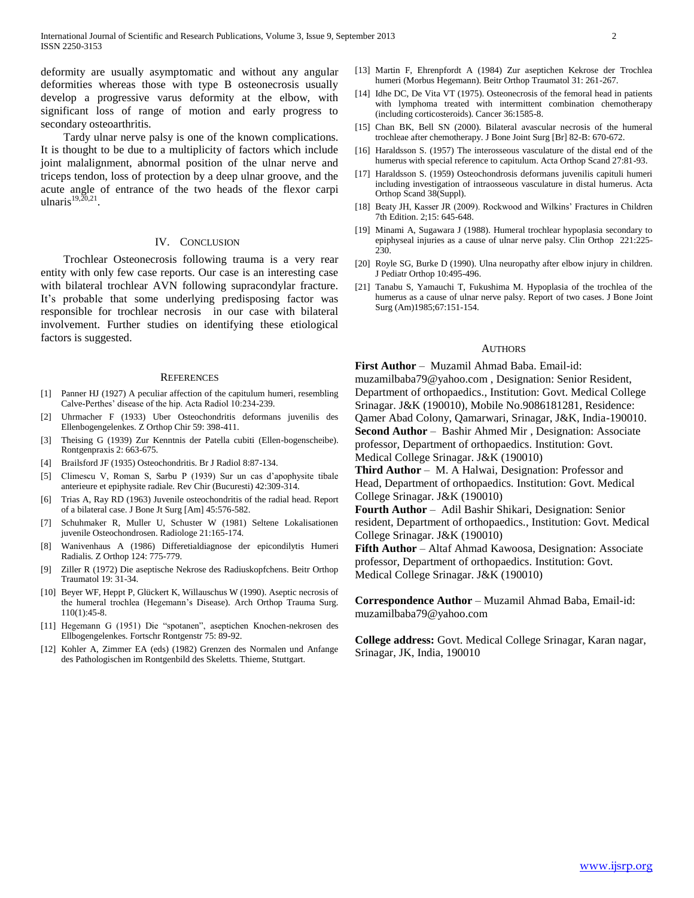deformity are usually asymptomatic and without any angular deformities whereas those with type B osteonecrosis usually develop a progressive varus deformity at the elbow, with significant loss of range of motion and early progress to secondary osteoarthritis.

 Tardy ulnar nerve palsy is one of the known complications. It is thought to be due to a multiplicity of factors which include joint malalignment, abnormal position of the ulnar nerve and triceps tendon, loss of protection by a deep ulnar groove, and the acute angle of entrance of the two heads of the flexor carpi ulnaris $19,20,21$ .

## IV. CONCLUSION

 Trochlear Osteonecrosis following trauma is a very rear entity with only few case reports. Our case is an interesting case with bilateral trochlear AVN following supracondylar fracture. It's probable that some underlying predisposing factor was responsible for trochlear necrosis in our case with bilateral involvement. Further studies on identifying these etiological factors is suggested.

#### **REFERENCES**

- [1] Panner HJ (1927) A peculiar affection of the capitulum humeri, resembling Calve-Perthes' disease of the hip. Acta Radiol 10:234-239.
- [2] Uhrmacher F (1933) Uber Osteochondritis deformans juvenilis des Ellenbogengelenkes. Z Orthop Chir 59: 398-411.
- [3] Theising G (1939) Zur Kenntnis der Patella cubiti (Ellen-bogenscheibe). Rontgenpraxis 2: 663-675.
- [4] Brailsford JF (1935) Osteochondritis. Br J Radiol 8:87-134.
- [5] Climescu V, Roman S, Sarbu P (1939) Sur un cas d'apophysite tibale anterieure et epiphysite radiale. Rev Chir (Bucuresti) 42:309-314.
- [6] Trias A, Ray RD (1963) Juvenile osteochondritis of the radial head. Report of a bilateral case. J Bone Jt Surg [Am] 45:576-582.
- [7] Schuhmaker R, Muller U, Schuster W (1981) Seltene Lokalisationen juvenile Osteochondrosen. Radiologe 21:165-174.
- [8] Wanivenhaus A (1986) Differetialdiagnose der epicondilytis Humeri Radialis. Z Orthop 124: 775-779.
- [9] Ziller R (1972) Die aseptische Nekrose des Radiuskopfchens. Beitr Orthop Traumatol 19: 31-34.
- [10] Beyer WF, Heppt P, Glückert K, Willauschus W (1990). Aseptic necrosis of the humeral trochlea (Hegemann's Disease). Arch Orthop Trauma Surg. 110(1):45-8.
- [11] Hegemann G (1951) Die "spotanen", aseptichen Knochen-nekrosen des Ellbogengelenkes. Fortschr Rontgenstr 75: 89-92.
- [12] Kohler A, Zimmer EA (eds) (1982) Grenzen des Normalen und Anfange des Pathologischen im Rontgenbild des Skeletts. Thieme, Stuttgart.
- [13] Martin F, Ehrenpfordt A (1984) Zur aseptichen Kekrose der Trochlea humeri (Morbus Hegemann). Beitr Orthop Traumatol 31: 261-267.
- [14] Idhe DC, De Vita VT (1975). Osteonecrosis of the femoral head in patients with lymphoma treated with intermittent combination chemotherapy (including corticosteroids). Cancer 36:1585-8.
- [15] Chan BK, Bell SN (2000). Bilateral avascular necrosis of the humeral trochleae after chemotherapy. J Bone Joint Surg [Br] 82-B: 670-672.
- [16] Haraldsson S. (1957) The interosseous vasculature of the distal end of the humerus with special reference to capitulum. Acta Orthop Scand 27:81-93.
- [17] Haraldsson S. (1959) Osteochondrosis deformans juvenilis capituli humeri including investigation of intraosseous vasculature in distal humerus. Acta Orthop Scand 38(Suppl).
- [18] Beaty JH, Kasser JR (2009). Rockwood and Wilkins' Fractures in Children 7th Edition. 2;15: 645-648.
- [19] Minami A, Sugawara J (1988). Humeral trochlear hypoplasia secondary to epiphyseal injuries as a cause of ulnar nerve palsy. Clin Orthop 221:225- 230
- [20] Royle SG, Burke D (1990). Ulna neuropathy after elbow injury in children. J Pediatr Orthop 10:495-496.
- [21] Tanabu S, Yamauchi T, Fukushima M. Hypoplasia of the trochlea of the humerus as a cause of ulnar nerve palsy. Report of two cases. J Bone Joint Surg (Am)1985;67:151-154.

#### **AUTHORS**

**First Author** – Muzamil Ahmad Baba. Email-id:

muzamilbaba79@yahoo.com , Designation: Senior Resident, Department of orthopaedics., Institution: Govt. Medical College Srinagar. J&K (190010), Mobile No.9086181281, Residence: Qamer Abad Colony, Qamarwari, Srinagar, J&K, India-190010. **Second Author** – Bashir Ahmed Mir , Designation: Associate professor, Department of orthopaedics. Institution: Govt. Medical College Srinagar. J&K (190010)

**Third Author** – M. A Halwai, Designation: Professor and Head, Department of orthopaedics. Institution: Govt. Medical College Srinagar. J&K (190010)

**Fourth Author** – Adil Bashir Shikari, Designation: Senior resident, Department of orthopaedics., Institution: Govt. Medical College Srinagar. J&K (190010)

**Fifth Author** – Altaf Ahmad Kawoosa, Designation: Associate professor, Department of orthopaedics. Institution: Govt. Medical College Srinagar. J&K (190010)

**Correspondence Author** – Muzamil Ahmad Baba, Email-id: muzamilbaba79@yahoo.com

**College address:** Govt. Medical College Srinagar, Karan nagar, Srinagar, JK, India, 190010